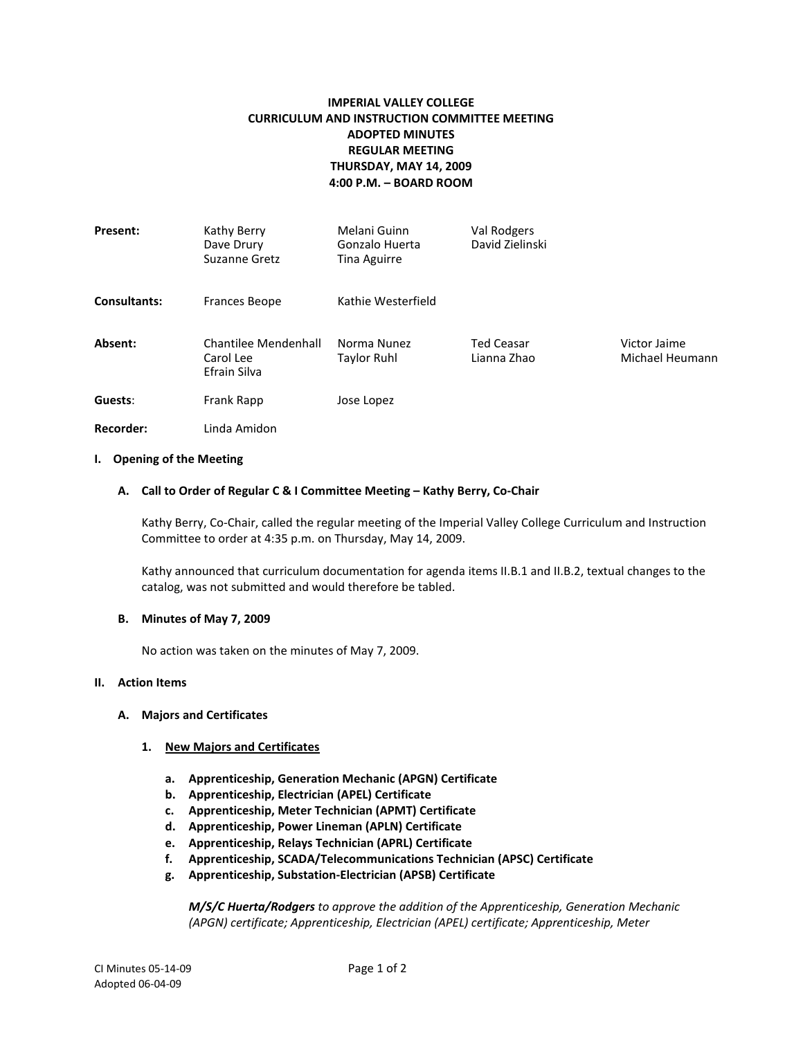# **IMPERIAL VALLEY COLLEGE CURRICULUM AND INSTRUCTION COMMITTEE MEETING ADOPTED MINUTES REGULAR MEETING THURSDAY, MAY 14, 2009 4:00 P.M. – BOARD ROOM**

| Present:            | Kathy Berry<br>Dave Drury<br>Suzanne Gretz        | Melani Guinn<br>Gonzalo Huerta<br>Tina Aguirre | Val Rodgers<br>David Zielinski   |                                 |
|---------------------|---------------------------------------------------|------------------------------------------------|----------------------------------|---------------------------------|
| <b>Consultants:</b> | Frances Beope                                     | Kathie Westerfield                             |                                  |                                 |
| Absent:             | Chantilee Mendenhall<br>Carol Lee<br>Efrain Silva | Norma Nunez<br>Taylor Ruhl                     | <b>Ted Ceasar</b><br>Lianna Zhao | Victor Jaime<br>Michael Heumann |
| Guests:             | Frank Rapp                                        | Jose Lopez                                     |                                  |                                 |
| <b>Recorder:</b>    | Linda Amidon                                      |                                                |                                  |                                 |

### **I. Opening of the Meeting**

### **A. Call to Order of Regular C & I Committee Meeting – Kathy Berry, Co-Chair**

Kathy Berry, Co-Chair, called the regular meeting of the Imperial Valley College Curriculum and Instruction Committee to order at 4:35 p.m. on Thursday, May 14, 2009.

Kathy announced that curriculum documentation for agenda items II.B.1 and II.B.2, textual changes to the catalog, was not submitted and would therefore be tabled.

### **B. Minutes of May 7, 2009**

No action was taken on the minutes of May 7, 2009.

### **II. Action Items**

### **A. Majors and Certificates**

### **1. New Majors and Certificates**

- **a. Apprenticeship, Generation Mechanic (APGN) Certificate**
- **b. Apprenticeship, Electrician (APEL) Certificate**
- **c. Apprenticeship, Meter Technician (APMT) Certificate**
- **d. Apprenticeship, Power Lineman (APLN) Certificate**
- **e. Apprenticeship, Relays Technician (APRL) Certificate**
- **f. Apprenticeship, SCADA/Telecommunications Technician (APSC) Certificate**
- **g. Apprenticeship, Substation-Electrician (APSB) Certificate**

*M/S/C Huerta/Rodgers to approve the addition of the Apprenticeship, Generation Mechanic (APGN) certificate; Apprenticeship, Electrician (APEL) certificate; Apprenticeship, Meter*